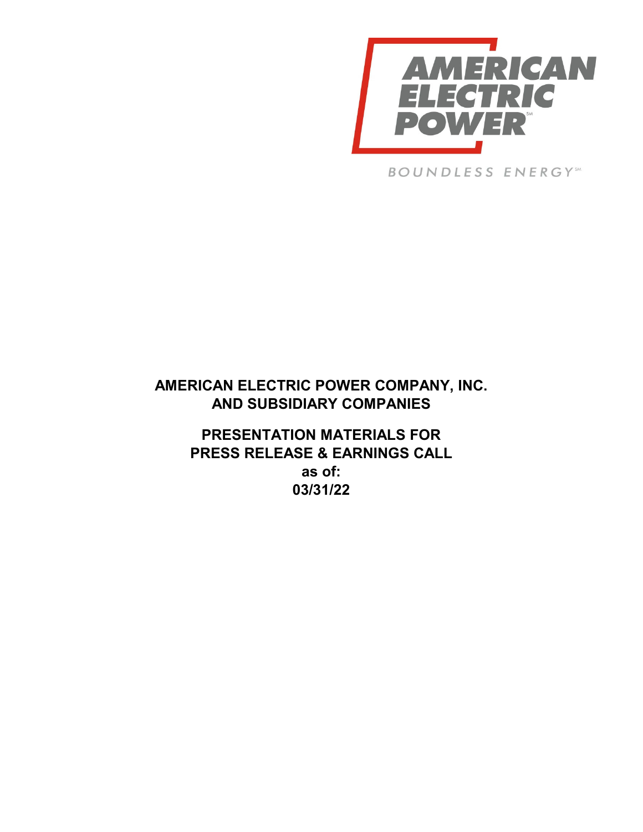

**BOUNDLESS ENERGY**SM

# **AMERICAN ELECTRIC POWER COMPANY, INC. AND SUBSIDIARY COMPANIES**

**PRESENTATION MATERIALS FOR PRESS RELEASE & EARNINGS CALL as of: 03/31/22**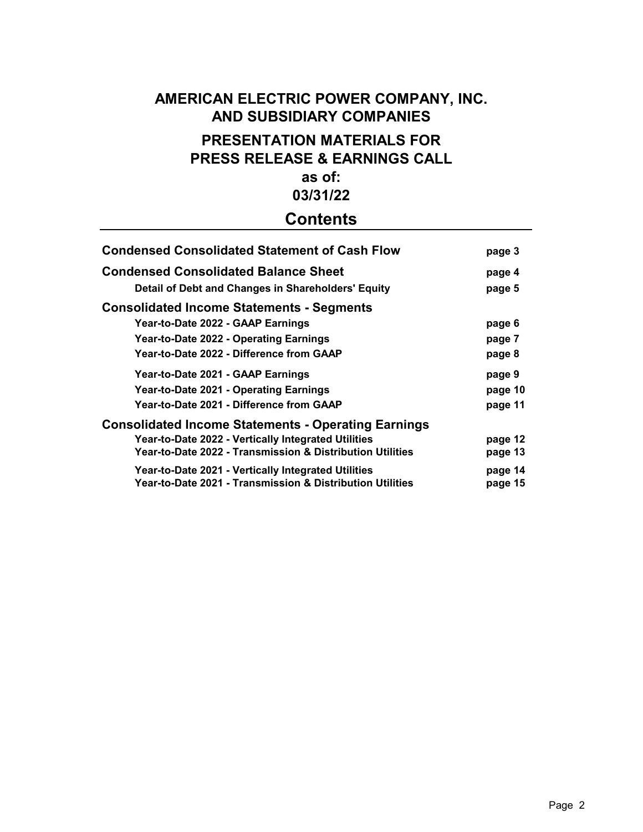# **AMERICAN ELECTRIC POWER COMPANY, INC. AND SUBSIDIARY COMPANIES PRESENTATION MATERIALS FOR PRESS RELEASE & EARNINGS CALL as of:**

# **03/31/22**

# **Contents**

| <b>Condensed Consolidated Statement of Cash Flow</b>       | page 3  |
|------------------------------------------------------------|---------|
| <b>Condensed Consolidated Balance Sheet</b>                | page 4  |
| Detail of Debt and Changes in Shareholders' Equity         | page 5  |
| <b>Consolidated Income Statements - Segments</b>           |         |
| Year-to-Date 2022 - GAAP Earnings                          | page 6  |
| Year-to-Date 2022 - Operating Earnings                     | page 7  |
| Year-to-Date 2022 - Difference from GAAP                   | page 8  |
| Year-to-Date 2021 - GAAP Earnings                          | page 9  |
| Year-to-Date 2021 - Operating Earnings                     | page 10 |
| Year-to-Date 2021 - Difference from GAAP                   | page 11 |
| <b>Consolidated Income Statements - Operating Earnings</b> |         |
| Year-to-Date 2022 - Vertically Integrated Utilities        | page 12 |
| Year-to-Date 2022 - Transmission & Distribution Utilities  | page 13 |
| Year-to-Date 2021 - Vertically Integrated Utilities        | page 14 |
| Year-to-Date 2021 - Transmission & Distribution Utilities  | page 15 |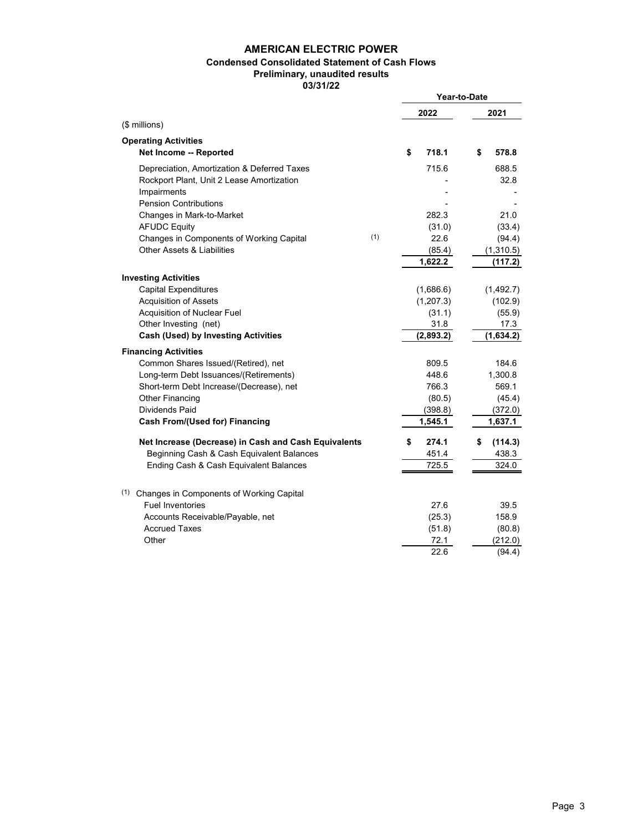### **AMERICAN ELECTRIC POWER**

### **Condensed Consolidated Statement of Cash Flows**

### **Preliminary, unaudited results**

**03/31/22**

|                                                      | Year-to-Date |               |
|------------------------------------------------------|--------------|---------------|
|                                                      | 2022         | 2021          |
| (\$ millions)                                        |              |               |
| <b>Operating Activities</b>                          |              |               |
| Net Income -- Reported                               | \$<br>718.1  | \$<br>578.8   |
| Depreciation, Amortization & Deferred Taxes          | 715.6        | 688.5         |
| Rockport Plant, Unit 2 Lease Amortization            |              | 32.8          |
| Impairments                                          |              |               |
| <b>Pension Contributions</b>                         |              |               |
| Changes in Mark-to-Market                            | 282.3        | 21.0          |
| <b>AFUDC Equity</b>                                  | (31.0)       | (33.4)        |
| (1)<br>Changes in Components of Working Capital      | 22.6         | (94.4)        |
| Other Assets & Liabilities                           | (85.4)       | (1,310.5)     |
|                                                      | 1,622.2      | (117.2)       |
| <b>Investing Activities</b>                          |              |               |
| <b>Capital Expenditures</b>                          | (1,686.6)    | (1,492.7)     |
| <b>Acquisition of Assets</b>                         | (1, 207.3)   | (102.9)       |
| Acquisition of Nuclear Fuel                          | (31.1)       | (55.9)        |
| Other Investing (net)                                | 31.8         | 17.3          |
| <b>Cash (Used) by Investing Activities</b>           | (2,893.2)    | (1,634.2)     |
| <b>Financing Activities</b>                          |              |               |
| Common Shares Issued/(Retired), net                  | 809.5        | 184.6         |
| Long-term Debt Issuances/(Retirements)               | 448.6        | 1,300.8       |
| Short-term Debt Increase/(Decrease), net             | 766.3        | 569.1         |
| <b>Other Financing</b>                               | (80.5)       | (45.4)        |
| Dividends Paid                                       | (398.8)      | (372.0)       |
| <b>Cash From/(Used for) Financing</b>                | 1,545.1      | 1,637.1       |
| Net Increase (Decrease) in Cash and Cash Equivalents | 274.1<br>S   | \$<br>(114.3) |
| Beginning Cash & Cash Equivalent Balances            | 451.4        | 438.3         |
| Ending Cash & Cash Equivalent Balances               | 725.5        | 324.0         |
|                                                      |              |               |
| (1)<br>Changes in Components of Working Capital      |              |               |
| <b>Fuel Inventories</b>                              | 27.6         | 39.5          |
| Accounts Receivable/Payable, net                     | (25.3)       | 158.9         |
| <b>Accrued Taxes</b>                                 | (51.8)       | (80.8)        |
| Other                                                | 72.1         | (212.0)       |
|                                                      | 22.6         | (94.4)        |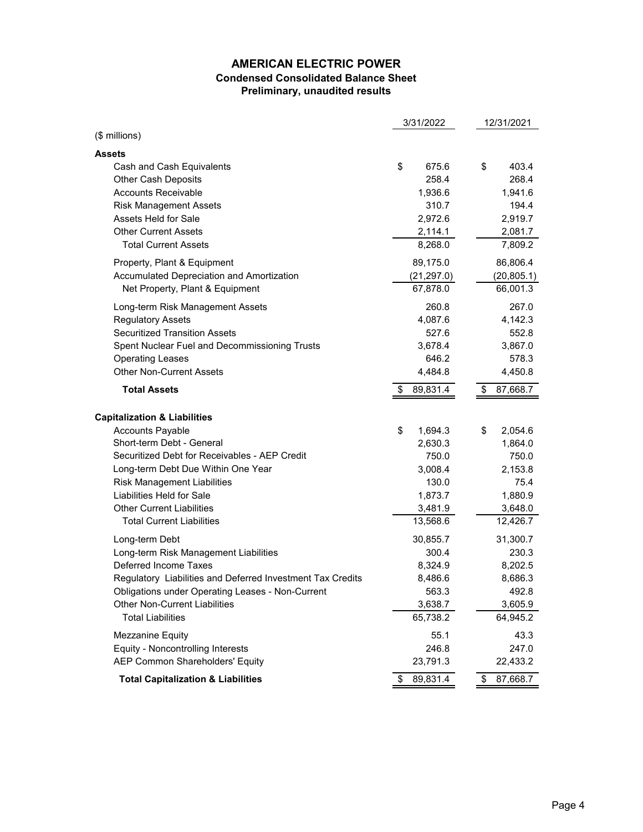### **AMERICAN ELECTRIC POWER Condensed Consolidated Balance Sheet Preliminary, unaudited results**

|                                                            | 3/31/2022      | 12/31/2021     |
|------------------------------------------------------------|----------------|----------------|
| (\$ millions)                                              |                |                |
| <b>Assets</b>                                              |                |                |
| Cash and Cash Equivalents                                  | \$<br>675.6    | \$<br>403.4    |
| <b>Other Cash Deposits</b>                                 | 258.4          | 268.4          |
| <b>Accounts Receivable</b>                                 | 1,936.6        | 1,941.6        |
| <b>Risk Management Assets</b>                              | 310.7          | 194.4          |
| Assets Held for Sale                                       | 2,972.6        | 2,919.7        |
| <b>Other Current Assets</b>                                | 2,114.1        | 2,081.7        |
| <b>Total Current Assets</b>                                | 8,268.0        | 7,809.2        |
| Property, Plant & Equipment                                | 89,175.0       | 86,806.4       |
| Accumulated Depreciation and Amortization                  | (21, 297.0)    | (20, 805.1)    |
| Net Property, Plant & Equipment                            | 67,878.0       | 66,001.3       |
| Long-term Risk Management Assets                           | 260.8          | 267.0          |
| <b>Regulatory Assets</b>                                   | 4,087.6        | 4,142.3        |
| <b>Securitized Transition Assets</b>                       | 527.6          | 552.8          |
| Spent Nuclear Fuel and Decommissioning Trusts              | 3,678.4        | 3,867.0        |
| <b>Operating Leases</b>                                    | 646.2          | 578.3          |
| <b>Other Non-Current Assets</b>                            | 4,484.8        | 4,450.8        |
| <b>Total Assets</b>                                        | 89,831.4<br>\$ | 87,668.7<br>\$ |
| <b>Capitalization &amp; Liabilities</b>                    |                |                |
| <b>Accounts Payable</b>                                    | \$<br>1,694.3  | \$<br>2,054.6  |
| Short-term Debt - General                                  | 2,630.3        | 1,864.0        |
| Securitized Debt for Receivables - AEP Credit              | 750.0          | 750.0          |
| Long-term Debt Due Within One Year                         | 3,008.4        | 2,153.8        |
| <b>Risk Management Liabilities</b>                         | 130.0          | 75.4           |
| Liabilities Held for Sale                                  | 1,873.7        | 1,880.9        |
| <b>Other Current Liabilities</b>                           | 3,481.9        | 3,648.0        |
| <b>Total Current Liabilities</b>                           | 13,568.6       | 12,426.7       |
| Long-term Debt                                             | 30,855.7       | 31,300.7       |
| Long-term Risk Management Liabilities                      | 300.4          | 230.3          |
| Deferred Income Taxes                                      | 8,324.9        | 8,202.5        |
| Regulatory Liabilities and Deferred Investment Tax Credits | 8,486.6        | 8,686.3        |
| Obligations under Operating Leases - Non-Current           | 563.3          | 492.8          |
| <b>Other Non-Current Liabilities</b>                       | 3,638.7        | 3,605.9        |
| <b>Total Liabilities</b>                                   | 65,738.2       | 64,945.2       |
| <b>Mezzanine Equity</b>                                    | 55.1           | 43.3           |
| Equity - Noncontrolling Interests                          | 246.8          | 247.0          |
| <b>AEP Common Shareholders' Equity</b>                     | 23,791.3       | 22,433.2       |
| <b>Total Capitalization &amp; Liabilities</b>              | \$<br>89,831.4 | 87,668.7<br>\$ |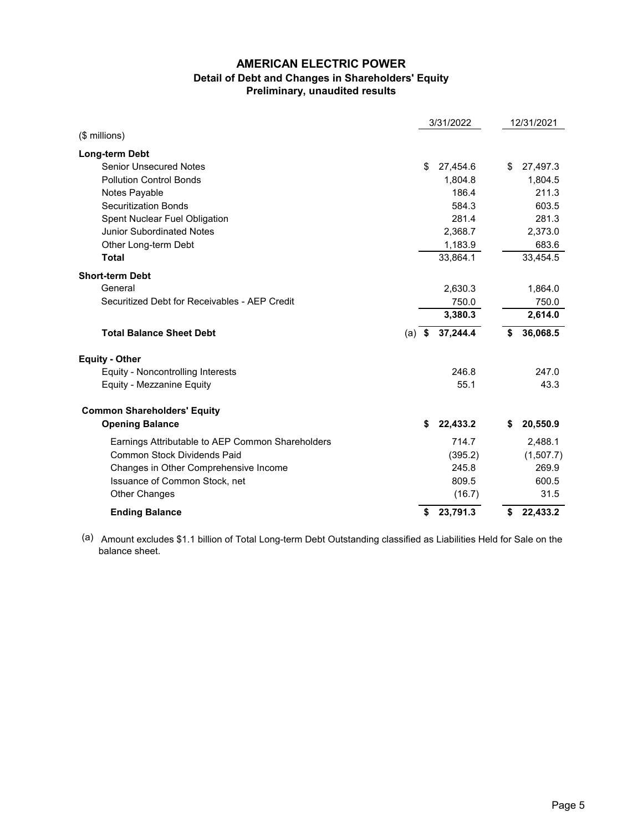### **AMERICAN ELECTRIC POWER Detail of Debt and Changes in Shareholders' Equity Preliminary, unaudited results**

|                                                  |      | 3/31/2022 |    | 12/31/2021 |
|--------------------------------------------------|------|-----------|----|------------|
| $($$ millions)                                   |      |           |    |            |
| Long-term Debt                                   |      |           |    |            |
| <b>Senior Unsecured Notes</b>                    | \$   | 27,454.6  | \$ | 27,497.3   |
| <b>Pollution Control Bonds</b>                   |      | 1,804.8   |    | 1,804.5    |
| Notes Payable                                    |      | 186.4     |    | 211.3      |
| <b>Securitization Bonds</b>                      |      | 584.3     |    | 603.5      |
| Spent Nuclear Fuel Obligation                    |      | 281.4     |    | 281.3      |
| <b>Junior Subordinated Notes</b>                 |      | 2,368.7   |    | 2,373.0    |
| Other Long-term Debt                             |      | 1,183.9   |    | 683.6      |
| <b>Total</b>                                     |      | 33,864.1  |    | 33,454.5   |
| <b>Short-term Debt</b>                           |      |           |    |            |
| General                                          |      | 2,630.3   |    | 1,864.0    |
| Securitized Debt for Receivables - AEP Credit    |      | 750.0     |    | 750.0      |
|                                                  |      | 3,380.3   |    | 2,614.0    |
| <b>Total Balance Sheet Debt</b><br>(a)           | - \$ | 37,244.4  | \$ | 36,068.5   |
| <b>Equity - Other</b>                            |      |           |    |            |
| Equity - Noncontrolling Interests                |      | 246.8     |    | 247.0      |
| Equity - Mezzanine Equity                        |      | 55.1      |    | 43.3       |
| <b>Common Shareholders' Equity</b>               |      |           |    |            |
| <b>Opening Balance</b>                           | \$   | 22,433.2  | S  | 20,550.9   |
| Earnings Attributable to AEP Common Shareholders |      | 714.7     |    | 2,488.1    |
| Common Stock Dividends Paid                      |      | (395.2)   |    | (1,507.7)  |
| Changes in Other Comprehensive Income            |      | 245.8     |    | 269.9      |
| Issuance of Common Stock, net                    |      | 809.5     |    | 600.5      |
| <b>Other Changes</b>                             |      | (16.7)    |    | 31.5       |
| <b>Ending Balance</b>                            | \$   | 23,791.3  | \$ | 22,433.2   |

(a) Amount excludes \$1.1 billion of Total Long-term Debt Outstanding classified as Liabilities Held for Sale on the balance sheet.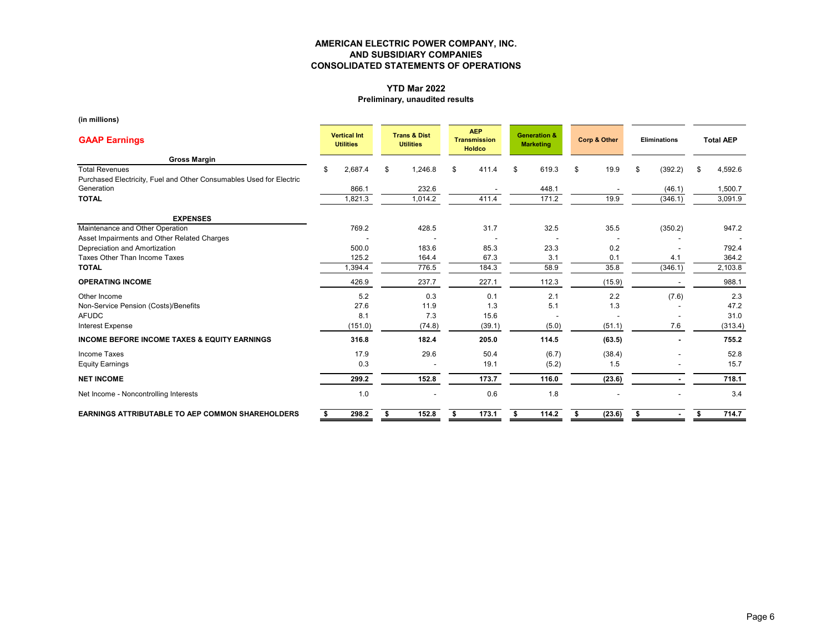## **YTD Mar 2022**

### **Preliminary, unaudited results**

**(in millions)**

| <b>GAAP Earnings</b>                                                | <b>Vertical Int</b><br><b>Utilities</b> | <b>Trans &amp; Dist</b><br><b>Utilities</b> | <b>AEP</b><br><b>Transmission</b><br><b>Holdco</b> | <b>Generation &amp;</b><br><b>Marketing</b> | <b>Corp &amp; Other</b> | <b>Eliminations</b> |     | <b>Total AEP</b> |
|---------------------------------------------------------------------|-----------------------------------------|---------------------------------------------|----------------------------------------------------|---------------------------------------------|-------------------------|---------------------|-----|------------------|
| <b>Gross Margin</b>                                                 |                                         |                                             |                                                    |                                             |                         |                     |     |                  |
| <b>Total Revenues</b>                                               | \$<br>2,687.4                           | \$<br>1,246.8                               | \$<br>411.4                                        | \$<br>619.3                                 | \$<br>19.9              | \$<br>(392.2)       | \$. | 4,592.6          |
| Purchased Electricity, Fuel and Other Consumables Used for Electric |                                         |                                             |                                                    |                                             |                         |                     |     |                  |
| Generation                                                          | 866.1                                   | 232.6                                       |                                                    | 448.1                                       |                         | (46.1)              |     | 1,500.7          |
| <b>TOTAL</b>                                                        | 1,821.3                                 | 1,014.2                                     | 411.4                                              | 171.2                                       | 19.9                    | (346.1)             |     | 3,091.9          |
| <b>EXPENSES</b>                                                     |                                         |                                             |                                                    |                                             |                         |                     |     |                  |
| Maintenance and Other Operation                                     | 769.2                                   | 428.5                                       | 31.7                                               | 32.5                                        | 35.5                    | (350.2)             |     | 947.2            |
| Asset Impairments and Other Related Charges                         |                                         |                                             |                                                    |                                             |                         |                     |     |                  |
| Depreciation and Amortization                                       | 500.0                                   | 183.6                                       | 85.3                                               | 23.3                                        | 0.2                     |                     |     | 792.4            |
| Taxes Other Than Income Taxes                                       | 125.2                                   | 164.4                                       | 67.3                                               | 3.1                                         | 0.1                     | 4.1                 |     | 364.2            |
| <b>TOTAL</b>                                                        | 1,394.4                                 | 776.5                                       | 184.3                                              | 58.9                                        | 35.8                    | (346.1)             |     | 2,103.8          |
| <b>OPERATING INCOME</b>                                             | 426.9                                   | 237.7                                       | 227.1                                              | 112.3                                       | (15.9)                  |                     |     | 988.1            |
| Other Income                                                        | 5.2                                     | 0.3                                         | 0.1                                                | 2.1                                         | 2.2                     | (7.6)               |     | 2.3              |
| Non-Service Pension (Costs)/Benefits                                | 27.6                                    | 11.9                                        | 1.3                                                | 5.1                                         | 1.3                     |                     |     | 47.2             |
| <b>AFUDC</b>                                                        | 8.1                                     | 7.3                                         | 15.6                                               |                                             |                         |                     |     | 31.0             |
| <b>Interest Expense</b>                                             | (151.0)                                 | (74.8)                                      | (39.1)                                             | (5.0)                                       | (51.1)                  | 7.6                 |     | (313.4)          |
| <b>INCOME BEFORE INCOME TAXES &amp; EQUITY EARNINGS</b>             | 316.8                                   | 182.4                                       | 205.0                                              | 114.5                                       | (63.5)                  |                     |     | 755.2            |
| <b>Income Taxes</b>                                                 | 17.9                                    | 29.6                                        | 50.4                                               | (6.7)                                       | (38.4)                  |                     |     | 52.8             |
| <b>Equity Earnings</b>                                              | 0.3                                     |                                             | 19.1                                               | (5.2)                                       | 1.5                     |                     |     | 15.7             |
| <b>NET INCOME</b>                                                   | 299.2                                   | 152.8                                       | 173.7                                              | 116.0                                       | (23.6)                  |                     |     | 718.1            |
| Net Income - Noncontrolling Interests                               | 1.0                                     |                                             | 0.6                                                | 1.8                                         |                         |                     |     | 3.4              |
| <b>EARNINGS ATTRIBUTABLE TO AEP COMMON SHAREHOLDERS</b>             | 298.2                                   | 152.8                                       | \$<br>173.1                                        | 114.2                                       | \$<br>(23.6)            | \$                  |     | 714.7            |

Page 6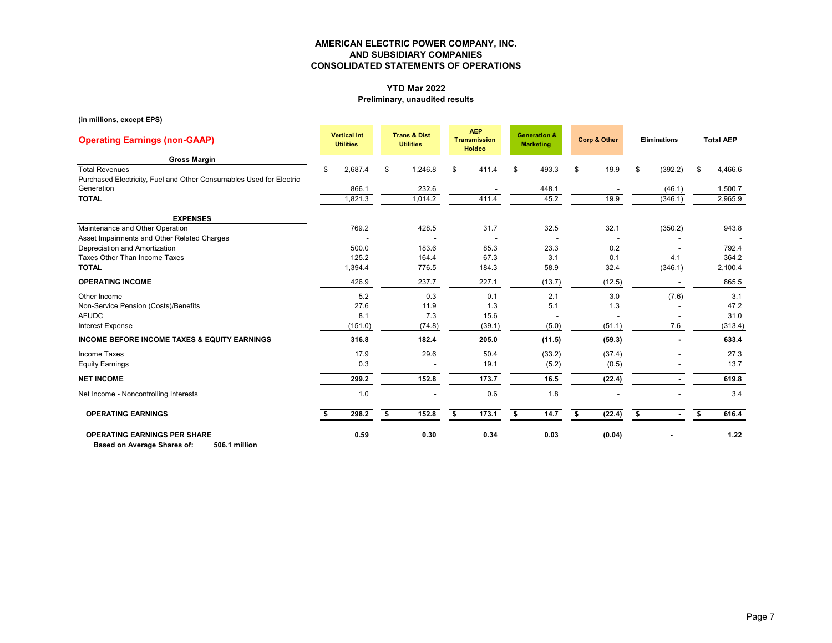## **YTD Mar 2022**

### **Preliminary, unaudited results**

**(in millions, except EPS)**

| <b>Operating Earnings (non-GAAP)</b>                                                         | <b>Vertical Int</b><br><b>Utilities</b> |         | <b>Trans &amp; Dist</b><br><b>Utilities</b> |    | <b>AEP</b><br><b>Transmission</b><br><b>Holdco</b> |   | <b>Generation &amp;</b><br><b>Marketing</b> |     | <b>Corp &amp; Other</b> |    | <b>Eliminations</b> |     | <b>Total AEP</b> |
|----------------------------------------------------------------------------------------------|-----------------------------------------|---------|---------------------------------------------|----|----------------------------------------------------|---|---------------------------------------------|-----|-------------------------|----|---------------------|-----|------------------|
| <b>Gross Margin</b>                                                                          |                                         |         |                                             |    |                                                    |   |                                             |     |                         |    |                     |     |                  |
| <b>Total Revenues</b><br>Purchased Electricity, Fuel and Other Consumables Used for Electric | 2,687.4<br>S                            |         | \$<br>1,246.8                               | \$ | 411.4                                              | S | 493.3                                       | \$  | 19.9                    | \$ | (392.2)             | \$  | 4,466.6          |
| Generation                                                                                   | 866.1                                   |         | 232.6                                       |    |                                                    |   | 448.1                                       |     |                         |    | (46.1)              |     | 1,500.7          |
| <b>TOTAL</b>                                                                                 | 1,821.3                                 |         | 1,014.2                                     |    | 411.4                                              |   | 45.2                                        |     | 19.9                    |    | (346.1)             |     | 2,965.9          |
| <b>EXPENSES</b>                                                                              |                                         |         |                                             |    |                                                    |   |                                             |     |                         |    |                     |     |                  |
| Maintenance and Other Operation                                                              |                                         | 769.2   | 428.5                                       |    | 31.7                                               |   | 32.5                                        |     | 32.1                    |    | (350.2)             |     | 943.8            |
| Asset Impairments and Other Related Charges                                                  |                                         |         |                                             |    |                                                    |   |                                             |     |                         |    |                     |     |                  |
| Depreciation and Amortization                                                                |                                         | 500.0   | 183.6                                       |    | 85.3                                               |   | 23.3                                        |     | 0.2                     |    |                     |     | 792.4            |
| Taxes Other Than Income Taxes                                                                | 125.2                                   |         | 164.4                                       |    | 67.3                                               |   | 3.1                                         |     | 0.1                     |    | 4.1                 |     | 364.2            |
| <b>TOTAL</b>                                                                                 | 1,394.4                                 |         | 776.5                                       |    | 184.3                                              |   | 58.9                                        |     | 32.4                    |    | (346.1)             |     | 2,100.4          |
| <b>OPERATING INCOME</b>                                                                      | 426.9                                   |         | 237.7                                       |    | 227.1                                              |   | (13.7)                                      |     | (12.5)                  |    |                     |     | 865.5            |
| Other Income                                                                                 |                                         | 5.2     | 0.3                                         |    | 0.1                                                |   | 2.1                                         |     | 3.0                     |    | (7.6)               |     | 3.1              |
| Non-Service Pension (Costs)/Benefits                                                         |                                         | 27.6    | 11.9                                        |    | 1.3                                                |   | 5.1                                         |     | 1.3                     |    |                     |     | 47.2             |
| <b>AFUDC</b>                                                                                 |                                         | 8.1     | 7.3                                         |    | 15.6                                               |   |                                             |     |                         |    |                     |     | 31.0             |
| <b>Interest Expense</b>                                                                      |                                         | (151.0) | (74.8)                                      |    | (39.1)                                             |   | (5.0)                                       |     | (51.1)                  |    | 7.6                 |     | (313.4)          |
| <b>INCOME BEFORE INCOME TAXES &amp; EQUITY EARNINGS</b>                                      | 316.8                                   |         | 182.4                                       |    | 205.0                                              |   | (11.5)                                      |     | (59.3)                  |    |                     |     | 633.4            |
| Income Taxes                                                                                 |                                         | 17.9    | 29.6                                        |    | 50.4                                               |   | (33.2)                                      |     | (37.4)                  |    |                     |     | 27.3             |
| <b>Equity Earnings</b>                                                                       |                                         | 0.3     |                                             |    | 19.1                                               |   | (5.2)                                       |     | (0.5)                   |    |                     |     | 13.7             |
| <b>NET INCOME</b>                                                                            |                                         | 299.2   | 152.8                                       |    | 173.7                                              |   | 16.5                                        |     | (22.4)                  |    |                     |     | 619.8            |
| Net Income - Noncontrolling Interests                                                        |                                         | 1.0     |                                             |    | 0.6                                                |   | 1.8                                         |     |                         |    |                     |     | 3.4              |
| <b>OPERATING EARNINGS</b>                                                                    |                                         | 298.2   | \$<br>152.8                                 | S. | 173.1                                              |   | 14.7                                        | \$. | (22.4)                  | Ŝ. |                     | -96 | 616.4            |
| <b>OPERATING EARNINGS PER SHARE</b><br>506.1 million<br>Based on Average Shares of:          |                                         | 0.59    | 0.30                                        |    | 0.34                                               |   | 0.03                                        |     | (0.04)                  |    |                     |     | 1.22             |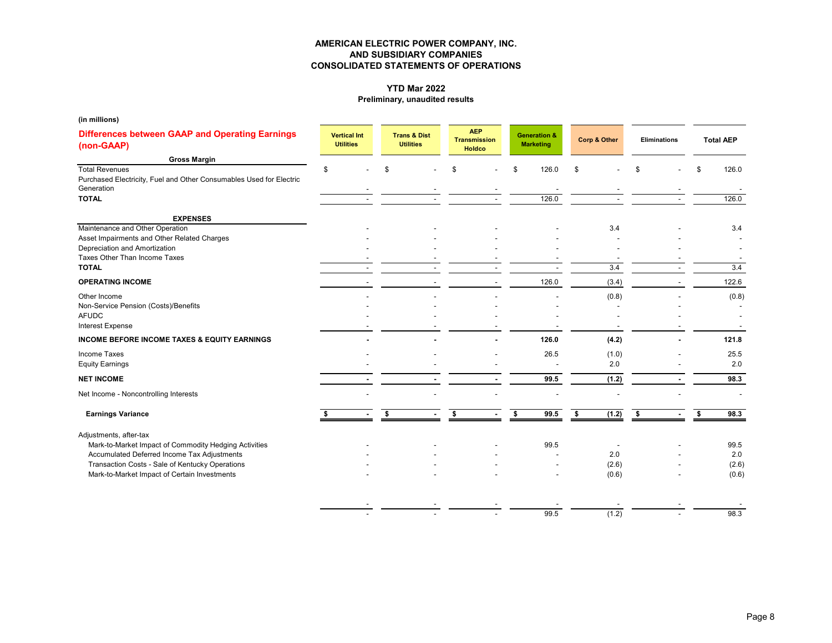### **YTD Mar 2022**

### **Preliminary, unaudited results**

| (in millions)                                                                                                   |                                         |     |                                             |                                      |            |                                             |                |                     |                |     |                  |
|-----------------------------------------------------------------------------------------------------------------|-----------------------------------------|-----|---------------------------------------------|--------------------------------------|------------|---------------------------------------------|----------------|---------------------|----------------|-----|------------------|
| <b>Differences between GAAP and Operating Earnings</b><br>(non-GAAP)                                            | <b>Vertical Int</b><br><b>Utilities</b> |     | <b>Trans &amp; Dist</b><br><b>Utilities</b> | <b>Transmission</b><br><b>Holdco</b> | <b>AEP</b> | <b>Generation &amp;</b><br><b>Marketing</b> | Corp & Other   | <b>Eliminations</b> |                |     | <b>Total AEP</b> |
| <b>Gross Margin</b>                                                                                             |                                         |     |                                             |                                      |            |                                             |                |                     |                |     |                  |
| <b>Total Revenues</b><br>Purchased Electricity, Fuel and Other Consumables Used for Electric<br>Generation      | \$                                      | £.  |                                             | \$.                                  |            | \$<br>126.0                                 | \$             | \$                  |                | \$. | 126.0            |
| <b>TOTAL</b>                                                                                                    |                                         |     |                                             |                                      |            | 126.0                                       |                |                     |                |     | 126.0            |
| <b>EXPENSES</b>                                                                                                 |                                         |     |                                             |                                      |            |                                             |                |                     |                |     |                  |
| Maintenance and Other Operation<br>Asset Impairments and Other Related Charges<br>Depreciation and Amortization |                                         |     |                                             |                                      |            |                                             | 3.4            |                     |                |     | 3.4              |
| Taxes Other Than Income Taxes<br><b>TOTAL</b>                                                                   |                                         |     |                                             |                                      |            |                                             | 3.4            |                     |                |     | 3.4              |
| <b>OPERATING INCOME</b>                                                                                         |                                         |     |                                             |                                      |            | 126.0                                       | (3.4)          |                     |                |     | 122.6            |
| Other Income<br>Non-Service Pension (Costs)/Benefits<br><b>AFUDC</b><br>Interest Expense                        |                                         |     |                                             |                                      |            |                                             | (0.8)          |                     |                |     | (0.8)            |
| <b>INCOME BEFORE INCOME TAXES &amp; EQUITY EARNINGS</b>                                                         |                                         |     |                                             |                                      |            | 126.0                                       | (4.2)          |                     |                |     | 121.8            |
|                                                                                                                 |                                         |     |                                             |                                      |            |                                             |                |                     |                |     |                  |
| Income Taxes<br><b>Equity Earnings</b>                                                                          |                                         |     |                                             |                                      |            | 26.5                                        | (1.0)<br>2.0   |                     |                |     | 25.5<br>2.0      |
| <b>NET INCOME</b>                                                                                               |                                         |     |                                             |                                      |            | 99.5                                        | (1.2)          |                     |                |     | 98.3             |
| Net Income - Noncontrolling Interests                                                                           |                                         |     |                                             |                                      |            |                                             |                |                     |                |     |                  |
| <b>Earnings Variance</b>                                                                                        |                                         | -\$ | ٠                                           | \$                                   |            | \$<br>99.5                                  | \$<br>(1.2)    | \$                  | $\blacksquare$ | \$  | 98.3             |
| Adjustments, after-tax<br>Mark-to-Market Impact of Commodity Hedging Activities                                 |                                         |     |                                             |                                      |            | 99.5                                        |                |                     |                |     | 99.5             |
| Accumulated Deferred Income Tax Adjustments                                                                     |                                         |     |                                             |                                      |            |                                             | 2.0            |                     |                |     | 2.0              |
| Transaction Costs - Sale of Kentucky Operations<br>Mark-to-Market Impact of Certain Investments                 |                                         |     |                                             |                                      |            |                                             | (2.6)<br>(0.6) |                     |                |     | (2.6)<br>(0.6)   |
|                                                                                                                 |                                         |     |                                             |                                      |            | 99.5                                        |                |                     |                |     | 98.3             |
|                                                                                                                 |                                         |     |                                             |                                      |            |                                             | (1.2)          |                     |                |     |                  |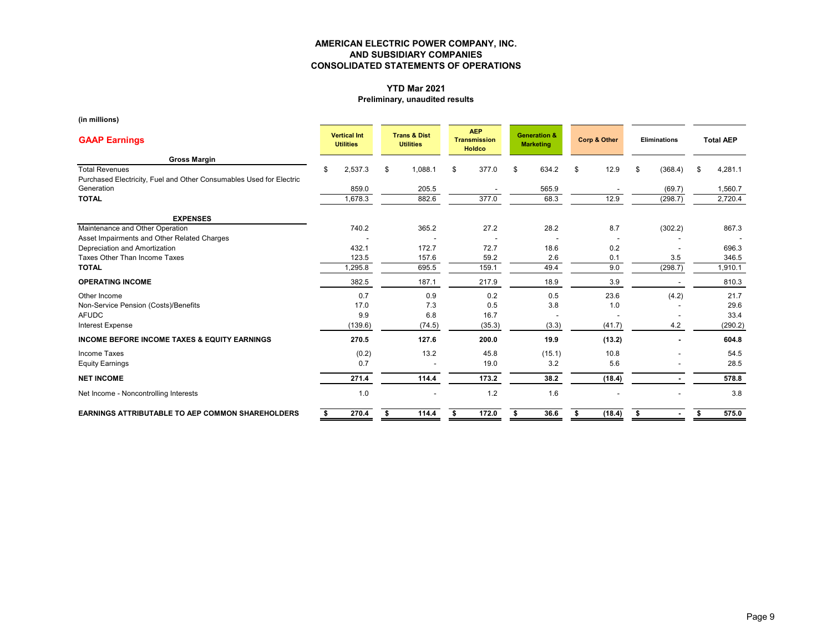# **YTD Mar 2021**

### **Preliminary, unaudited results**

**(in millions)**

| <b>GAAP Earnings</b>                                                |     | <b>Vertical Int</b><br><b>Utilities</b> | <b>Trans &amp; Dist</b><br><b>Utilities</b> | <b>AEP</b><br><b>Transmission</b><br><b>Holdco</b> | <b>Generation &amp;</b><br><b>Marketing</b> | <b>Corp &amp; Other</b> | <b>Eliminations</b> | <b>Total AEP</b> |
|---------------------------------------------------------------------|-----|-----------------------------------------|---------------------------------------------|----------------------------------------------------|---------------------------------------------|-------------------------|---------------------|------------------|
| <b>Gross Margin</b>                                                 |     |                                         |                                             |                                                    |                                             |                         |                     |                  |
| <b>Total Revenues</b>                                               | \$. | 2,537.3                                 | \$<br>1,088.1                               | \$<br>377.0                                        | \$<br>634.2                                 | \$<br>12.9              | \$<br>(368.4)       | \$<br>4,281.1    |
| Purchased Electricity, Fuel and Other Consumables Used for Electric |     |                                         |                                             |                                                    |                                             |                         |                     |                  |
| Generation                                                          |     | 859.0                                   | 205.5                                       |                                                    | 565.9                                       |                         | (69.7)              | 1,560.7          |
| <b>TOTAL</b>                                                        |     | 1,678.3                                 | 882.6                                       | 377.0                                              | 68.3                                        | 12.9                    | (298.7)             | 2,720.4          |
| <b>EXPENSES</b>                                                     |     |                                         |                                             |                                                    |                                             |                         |                     |                  |
| Maintenance and Other Operation                                     |     | 740.2                                   | 365.2                                       | 27.2                                               | 28.2                                        | 8.7                     | (302.2)             | 867.3            |
| Asset Impairments and Other Related Charges                         |     |                                         |                                             |                                                    |                                             |                         |                     |                  |
| Depreciation and Amortization                                       |     | 432.1                                   | 172.7                                       | 72.7                                               | 18.6                                        | 0.2                     |                     | 696.3            |
| Taxes Other Than Income Taxes                                       |     | 123.5                                   | 157.6                                       | 59.2                                               | 2.6                                         | 0.1                     | 3.5                 | 346.5            |
| <b>TOTAL</b>                                                        |     | 1,295.8                                 | 695.5                                       | 159.1                                              | 49.4                                        | 9.0                     | (298.7)             | 1,910.1          |
| <b>OPERATING INCOME</b>                                             |     | 382.5                                   | 187.1                                       | 217.9                                              | 18.9                                        | 3.9                     |                     | 810.3            |
| Other Income                                                        |     | 0.7                                     | 0.9                                         | 0.2                                                | 0.5                                         | 23.6                    | (4.2)               | 21.7             |
| Non-Service Pension (Costs)/Benefits                                |     | 17.0                                    | 7.3                                         | 0.5                                                | 3.8                                         | 1.0                     |                     | 29.6             |
| <b>AFUDC</b>                                                        |     | 9.9                                     | 6.8                                         | 16.7                                               |                                             |                         |                     | 33.4             |
| <b>Interest Expense</b>                                             |     | (139.6)                                 | (74.5)                                      | (35.3)                                             | (3.3)                                       | (41.7)                  | 4.2                 | (290.2)          |
| <b>INCOME BEFORE INCOME TAXES &amp; EQUITY EARNINGS</b>             |     | 270.5                                   | 127.6                                       | 200.0                                              | 19.9                                        | (13.2)                  |                     | 604.8            |
| <b>Income Taxes</b>                                                 |     | (0.2)                                   | 13.2                                        | 45.8                                               | (15.1)                                      | 10.8                    |                     | 54.5             |
| <b>Equity Earnings</b>                                              |     | 0.7                                     |                                             | 19.0                                               | 3.2                                         | 5.6                     |                     | 28.5             |
| <b>NET INCOME</b>                                                   |     | 271.4                                   | 114.4                                       | 173.2                                              | 38.2                                        | (18.4)                  |                     | 578.8            |
| Net Income - Noncontrolling Interests                               |     | 1.0                                     |                                             | 1.2                                                | 1.6                                         |                         |                     | 3.8              |
| <b>EARNINGS ATTRIBUTABLE TO AEP COMMON SHAREHOLDERS</b>             |     | 270.4                                   | 114.4                                       | 172.0                                              | 36.6                                        | (18.4)                  |                     | 575.0            |

Page 9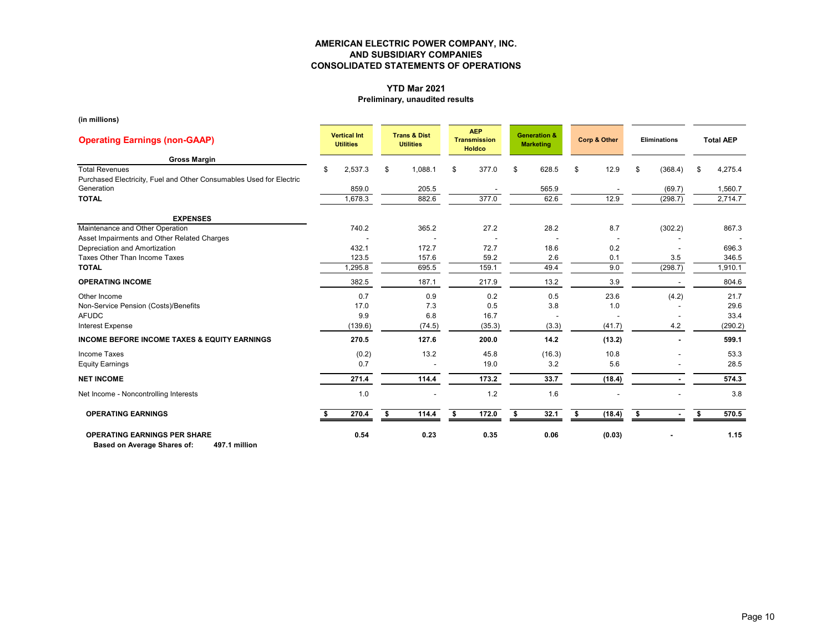# **YTD Mar 2021**

### **Preliminary, unaudited results**

**(in millions)**

| <b>Operating Earnings (non-GAAP)</b>                                                         | <b>Vertical Int</b><br><b>Utilities</b> |    | <b>Trans &amp; Dist</b><br><b>Utilities</b> |    | <b>AEP</b><br><b>Transmission</b><br><b>Holdco</b> | <b>Generation &amp;</b><br><b>Marketing</b> | <b>Corp &amp; Other</b> | <b>Eliminations</b> |     | <b>Total AEP</b>   |
|----------------------------------------------------------------------------------------------|-----------------------------------------|----|---------------------------------------------|----|----------------------------------------------------|---------------------------------------------|-------------------------|---------------------|-----|--------------------|
| <b>Gross Margin</b>                                                                          |                                         |    |                                             |    |                                                    |                                             |                         |                     |     |                    |
| <b>Total Revenues</b><br>Purchased Electricity, Fuel and Other Consumables Used for Electric | \$<br>2,537.3                           | \$ | 1,088.1                                     | \$ | 377.0                                              | \$<br>628.5                                 | \$<br>12.9              | \$<br>(368.4)       | \$  | 4,275.4            |
| Generation                                                                                   | 859.0                                   |    | 205.5                                       |    |                                                    | 565.9                                       |                         | (69.7)              |     | 1,560.7            |
| <b>TOTAL</b>                                                                                 | 1,678.3                                 |    | 882.6                                       |    | 377.0                                              | 62.6                                        | 12.9                    | (298.7)             |     | 2,714.7            |
| <b>EXPENSES</b>                                                                              |                                         |    |                                             |    |                                                    |                                             |                         |                     |     |                    |
| Maintenance and Other Operation                                                              | 740.2                                   |    | 365.2                                       |    | 27.2                                               | 28.2                                        | 8.7                     | (302.2)             |     | 867.3              |
| Asset Impairments and Other Related Charges                                                  |                                         |    |                                             |    |                                                    |                                             |                         |                     |     |                    |
| Depreciation and Amortization                                                                | 432.1                                   |    | 172.7                                       |    | 72.7                                               | 18.6                                        | 0.2                     |                     |     | 696.3              |
| Taxes Other Than Income Taxes                                                                | 123.5                                   |    | 157.6                                       |    | 59.2                                               | 2.6                                         | 0.1                     | 3.5                 |     | 346.5              |
| <b>TOTAL</b>                                                                                 | 1,295.8                                 |    | 695.5                                       |    | 159.1                                              | 49.4                                        | 9.0                     | (298.7)             |     | 1,910.1            |
| <b>OPERATING INCOME</b>                                                                      | 382.5                                   |    | 187.1                                       |    | 217.9                                              | 13.2                                        | 3.9                     |                     |     | 804.6              |
| Other Income                                                                                 | 0.7                                     |    | 0.9                                         |    | 0.2                                                | 0.5                                         | 23.6                    | (4.2)               |     | 21.7               |
| Non-Service Pension (Costs)/Benefits                                                         | 17.0                                    |    | 7.3                                         |    | 0.5                                                | 3.8                                         | 1.0                     |                     |     | 29.6               |
| <b>AFUDC</b>                                                                                 | 9.9                                     |    | 6.8                                         |    | 16.7                                               |                                             |                         |                     |     | 33.4               |
| <b>Interest Expense</b>                                                                      | (139.6)                                 |    | (74.5)                                      |    | (35.3)                                             | (3.3)                                       | (41.7)                  | 4.2                 |     | (290.2)            |
| <b>INCOME BEFORE INCOME TAXES &amp; EQUITY EARNINGS</b>                                      | 270.5                                   |    | 127.6                                       |    | 200.0                                              | 14.2                                        | (13.2)                  |                     |     | 599.1              |
| Income Taxes                                                                                 | (0.2)                                   |    | 13.2                                        |    | 45.8                                               | (16.3)                                      | 10.8                    |                     |     | 53.3               |
| <b>Equity Earnings</b>                                                                       | 0.7                                     |    |                                             |    | 19.0                                               | 3.2                                         | 5.6                     |                     |     | 28.5               |
| <b>NET INCOME</b>                                                                            | 271.4                                   |    | 114.4                                       |    | 173.2                                              | 33.7                                        | (18.4)                  |                     |     | 574.3              |
| Net Income - Noncontrolling Interests                                                        | 1.0                                     |    |                                             |    | 1.2                                                | 1.6                                         |                         |                     |     | 3.8                |
| <b>OPERATING EARNINGS</b>                                                                    | 270.4                                   | Ŝ. | 114.4                                       | S. | 172.0                                              | 32.1                                        | \$<br>(18.4)            | \$                  | -96 | $\overline{570.5}$ |
| <b>OPERATING EARNINGS PER SHARE</b><br>497.1 million<br>Based on Average Shares of:          | 0.54                                    |    | 0.23                                        |    | 0.35                                               | 0.06                                        | (0.03)                  |                     |     | 1.15               |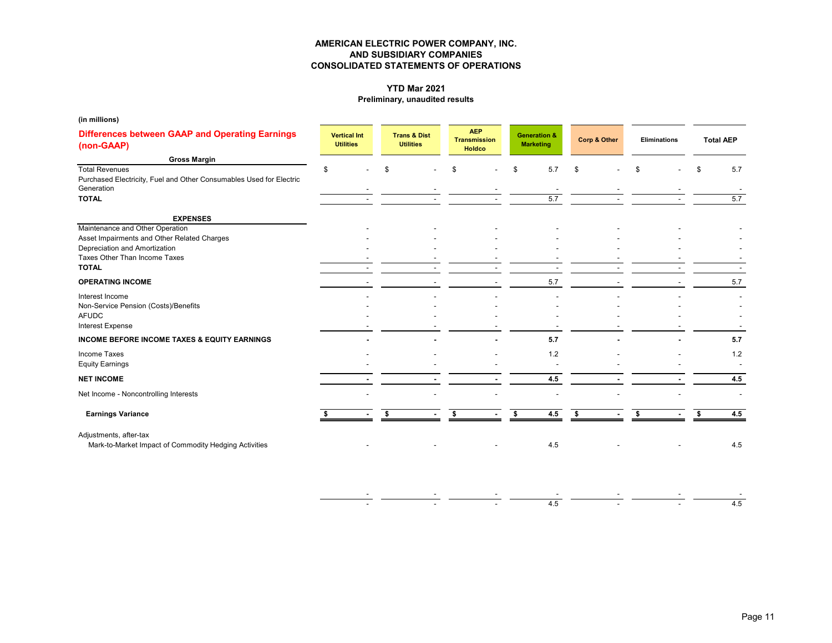### **YTD Mar 2021**

### **Preliminary, unaudited results**

| (in millions)                                                                                              |                                         |    |                                             |                                                    |    |                                             |              |              |    |                  |
|------------------------------------------------------------------------------------------------------------|-----------------------------------------|----|---------------------------------------------|----------------------------------------------------|----|---------------------------------------------|--------------|--------------|----|------------------|
| <b>Differences between GAAP and Operating Earnings</b><br>(non-GAAP)                                       | <b>Vertical Int</b><br><b>Utilities</b> |    | <b>Trans &amp; Dist</b><br><b>Utilities</b> | <b>AEP</b><br><b>Transmission</b><br><b>Holdco</b> |    | <b>Generation &amp;</b><br><b>Marketing</b> | Corp & Other | Eliminations |    | <b>Total AEP</b> |
| <b>Gross Margin</b>                                                                                        |                                         |    |                                             |                                                    |    |                                             |              |              |    |                  |
| <b>Total Revenues</b><br>Purchased Electricity, Fuel and Other Consumables Used for Electric<br>Generation | \$                                      | \$ |                                             | \$                                                 |    | 5.7                                         | \$           | \$           | \$ | 5.7              |
| <b>TOTAL</b>                                                                                               |                                         |    |                                             |                                                    |    | 5.7                                         |              |              |    | 5.7              |
| <b>EXPENSES</b>                                                                                            |                                         |    |                                             |                                                    |    |                                             |              |              |    |                  |
| Maintenance and Other Operation                                                                            |                                         |    |                                             |                                                    |    |                                             |              |              |    |                  |
| Asset Impairments and Other Related Charges<br>Depreciation and Amortization                               |                                         |    |                                             |                                                    |    |                                             |              |              |    |                  |
| Taxes Other Than Income Taxes                                                                              |                                         |    |                                             |                                                    |    |                                             |              |              |    |                  |
| <b>TOTAL</b>                                                                                               |                                         |    |                                             |                                                    |    |                                             |              |              |    |                  |
| <b>OPERATING INCOME</b>                                                                                    |                                         |    |                                             |                                                    |    | 5.7                                         |              |              |    | 5.7              |
| Interest Income                                                                                            |                                         |    |                                             |                                                    |    |                                             |              |              |    |                  |
| Non-Service Pension (Costs)/Benefits<br><b>AFUDC</b>                                                       |                                         |    |                                             |                                                    |    |                                             |              |              |    |                  |
| Interest Expense                                                                                           |                                         |    |                                             |                                                    |    |                                             |              |              |    |                  |
| <b>INCOME BEFORE INCOME TAXES &amp; EQUITY EARNINGS</b>                                                    |                                         |    |                                             |                                                    |    | 5.7                                         |              |              |    | 5.7              |
| Income Taxes                                                                                               |                                         |    |                                             |                                                    |    | 1.2                                         |              |              |    | 1.2              |
| <b>Equity Earnings</b>                                                                                     |                                         |    |                                             |                                                    |    |                                             |              |              |    |                  |
| <b>NET INCOME</b>                                                                                          |                                         |    |                                             |                                                    |    | 4.5                                         |              |              |    | 4.5              |
| Net Income - Noncontrolling Interests                                                                      |                                         |    |                                             |                                                    |    |                                             |              |              |    |                  |
| <b>Earnings Variance</b>                                                                                   |                                         | S. |                                             | S.                                                 | \$ | 4.5                                         | \$           | \$           | s. | 4.5              |
| Adjustments, after-tax                                                                                     |                                         |    |                                             |                                                    |    |                                             |              |              |    |                  |
| Mark-to-Market Impact of Commodity Hedging Activities                                                      |                                         |    |                                             |                                                    |    | 4.5                                         |              |              |    | 4.5              |
|                                                                                                            |                                         |    |                                             |                                                    |    |                                             |              |              |    |                  |
|                                                                                                            |                                         |    |                                             |                                                    |    |                                             |              |              |    |                  |
|                                                                                                            |                                         |    |                                             |                                                    |    | 4.5                                         |              |              |    | 4.5              |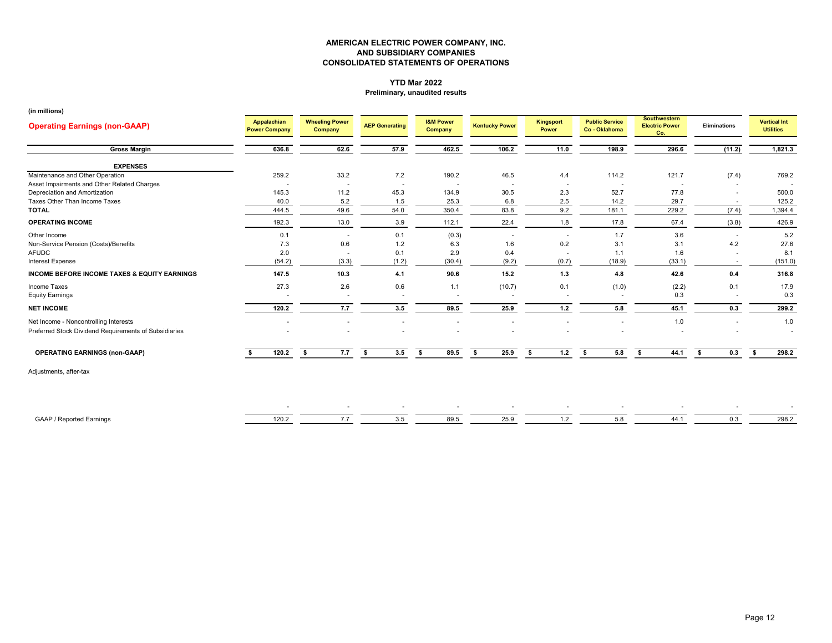#### **YTD Mar 2022Preliminary, unaudited results**

**(in millions)**

| <b>Operating Earnings (non-GAAP)</b>                    | Appalachian<br><b>Power Company</b> | <b>Wheeling Power</b><br>Company | <b>AEP Generating</b>    | <b>I&amp;M Power</b><br>Company | <b>Kentucky Power</b> | <b>Kingsport</b><br>Power | <b>Public Service</b><br>Co - Oklahoma | <b>Southwestern</b><br><b>Electric Power</b><br>Co. | Eliminations | <b>Vertical Int</b><br><b>Utilities</b> |
|---------------------------------------------------------|-------------------------------------|----------------------------------|--------------------------|---------------------------------|-----------------------|---------------------------|----------------------------------------|-----------------------------------------------------|--------------|-----------------------------------------|
| <b>Gross Margin</b>                                     | 636.8                               | 62.6                             | 57.9                     | 462.5                           | 106.2                 | 11.0                      | 198.9                                  | 296.6                                               | (11.2)       | 1,821.3                                 |
| <b>EXPENSES</b>                                         |                                     |                                  |                          |                                 |                       |                           |                                        |                                                     |              |                                         |
| Maintenance and Other Operation                         | 259.2                               | 33.2                             | 7.2                      | 190.2                           | 46.5                  | 4.4                       | 114.2                                  | 121.7                                               | (7.4)        | 769.2                                   |
| Asset Impairments and Other Related Charges             |                                     |                                  | $\sim$                   |                                 |                       |                           |                                        |                                                     |              |                                         |
| Depreciation and Amortization                           | 145.3                               | 11.2                             | 45.3                     | 134.9                           | 30.5                  | 2.3                       | 52.7                                   | 77.8                                                |              | 500.0                                   |
| Taxes Other Than Income Taxes                           | 40.0                                | 5.2                              | 1.5                      | 25.3                            | 6.8                   | 2.5                       | 14.2                                   | 29.7                                                |              | 125.2                                   |
| <b>TOTAL</b>                                            | 444.5                               | 49.6                             | 54.0                     | 350.4                           | 83.8                  | 9.2                       | 181.1                                  | 229.2                                               | (7.4)        | 1,394.4                                 |
| <b>OPERATING INCOME</b>                                 | 192.3                               | 13.0                             | 3.9                      | 112.1                           | 22.4                  | 1.8                       | 17.8                                   | 67.4                                                | (3.8)        | 426.9                                   |
| Other Income                                            | 0.1                                 |                                  | 0.1                      | (0.3)                           |                       | $\sim$                    | 1.7                                    | 3.6                                                 |              | 5.2                                     |
| Non-Service Pension (Costs)/Benefits                    | 7.3                                 | 0.6                              | 1.2                      | 6.3                             | 1.6                   | 0.2                       | 3.1                                    | 3.1                                                 | 4.2          | 27.6                                    |
| <b>AFUDC</b>                                            | 2.0                                 |                                  | 0.1                      | 2.9                             | 0.4                   |                           | 1.1                                    | 1.6                                                 |              | 8.1                                     |
| Interest Expense                                        | (54.2)                              | (3.3)                            | (1.2)                    | (30.4)                          | (9.2)                 | (0.7)                     | (18.9)                                 | (33.1)                                              |              | (151.0)                                 |
| <b>INCOME BEFORE INCOME TAXES &amp; EQUITY EARNINGS</b> | 147.5                               | 10.3                             | 4.1                      | 90.6                            | 15.2                  | 1.3                       | 4.8                                    | 42.6                                                | 0.4          | 316.8                                   |
| Income Taxes                                            | 27.3                                | 2.6                              | 0.6                      | 1.1                             | (10.7)                | 0.1                       | (1.0)                                  | (2.2)                                               | 0.1          | 17.9                                    |
| <b>Equity Earnings</b>                                  |                                     |                                  | $\overline{\phantom{a}}$ | ٠                               |                       | $\sim$                    | $\overline{\phantom{a}}$               | 0.3                                                 |              | 0.3                                     |
| <b>NET INCOME</b>                                       | 120.2                               | 7.7                              | 3.5                      | 89.5                            | 25.9                  | $1.2$                     | 5.8                                    | 45.1                                                | 0.3          | 299.2                                   |
| Net Income - Noncontrolling Interests                   |                                     |                                  |                          |                                 |                       |                           |                                        | 1.0                                                 |              | 1.0                                     |
| Preferred Stock Dividend Requirements of Subsidiaries   |                                     |                                  |                          |                                 |                       |                           |                                        |                                                     |              | $\overline{\phantom{a}}$                |
| <b>OPERATING EARNINGS (non-GAAP)</b>                    | 120.2                               | 7.7<br>\$                        | 3.5<br>\$                | 89.5<br>\$                      | 25.9<br>\$            | \$<br>$1.2$               | 5.8<br>- \$                            | 44.1<br>-\$                                         | 0.3<br>s.    | 298.2<br>\$                             |
| Adjustments, after-tax                                  |                                     |                                  |                          |                                 |                       |                           |                                        |                                                     |              |                                         |
|                                                         |                                     |                                  |                          |                                 |                       |                           |                                        |                                                     |              |                                         |
|                                                         |                                     |                                  | $\overline{\phantom{a}}$ |                                 |                       |                           |                                        |                                                     |              |                                         |
| <b>GAAP / Reported Earnings</b>                         | 120.2                               | 7.7                              | 3.5                      | 89.5                            | 25.9                  | 1.2                       | 5.8                                    | 44.1                                                | 0.3          | 298.2                                   |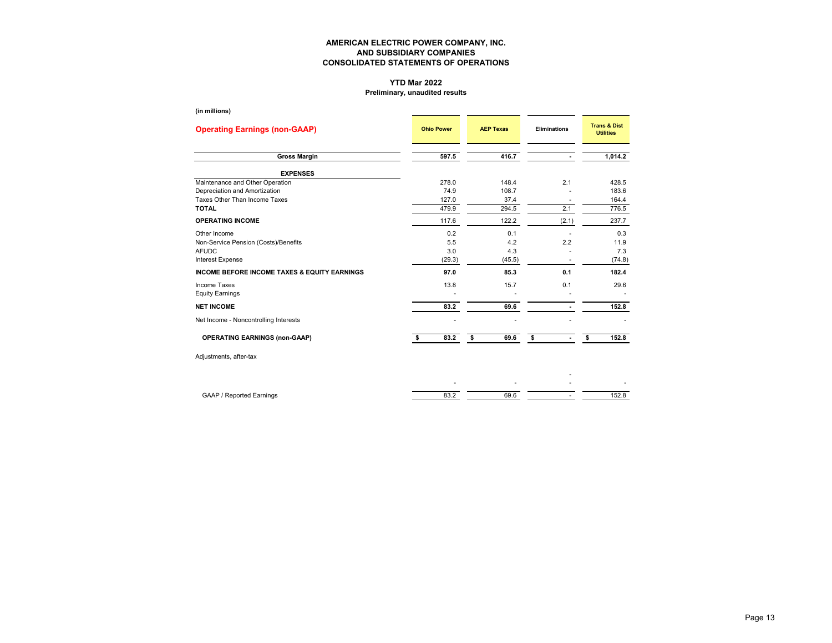## **YTD Mar 2022**

### **Preliminary, unaudited results**

| (in millions)                                           |                   |                  |                     |                                             |
|---------------------------------------------------------|-------------------|------------------|---------------------|---------------------------------------------|
| <b>Operating Earnings (non-GAAP)</b>                    | <b>Ohio Power</b> | <b>AEP Texas</b> | <b>Eliminations</b> | <b>Trans &amp; Dist</b><br><b>Utilities</b> |
| <b>Gross Margin</b>                                     | 597.5             | 416.7            |                     | 1,014.2                                     |
| <b>EXPENSES</b>                                         |                   |                  |                     |                                             |
| Maintenance and Other Operation                         | 278.0             | 148.4            | 2.1                 | 428.5                                       |
| Depreciation and Amortization                           | 74.9              | 108.7            |                     | 183.6                                       |
| Taxes Other Than Income Taxes                           | 127.0             | 37.4             |                     | 164.4                                       |
| <b>TOTAL</b>                                            | 479.9             | 294.5            | 2.1                 | 776.5                                       |
| <b>OPERATING INCOME</b>                                 | 117.6             | 122.2            | (2.1)               | 237.7                                       |
| Other Income                                            | 0.2               | 0.1              |                     | 0.3                                         |
| Non-Service Pension (Costs)/Benefits                    | 5.5               | 4.2              | 2.2                 | 11.9                                        |
| <b>AFUDC</b>                                            | 3.0               | 4.3              |                     | 7.3                                         |
| Interest Expense                                        | (29.3)            | (45.5)           |                     | (74.8)                                      |
| <b>INCOME BEFORE INCOME TAXES &amp; EQUITY EARNINGS</b> | 97.0              | 85.3             | 0.1                 | 182.4                                       |
| <b>Income Taxes</b>                                     | 13.8              | 15.7             | 0.1                 | 29.6                                        |
| <b>Equity Earnings</b>                                  |                   |                  |                     |                                             |
| <b>NET INCOME</b>                                       | 83.2              | 69.6             |                     | 152.8                                       |
| Net Income - Noncontrolling Interests                   |                   |                  |                     |                                             |
| <b>OPERATING EARNINGS (non-GAAP)</b>                    | 83.2              | \$<br>69.6       | \$                  | 152.8<br>\$                                 |
| Adjustments, after-tax                                  |                   |                  |                     |                                             |
|                                                         |                   |                  |                     |                                             |
|                                                         |                   |                  |                     |                                             |
| <b>GAAP / Reported Earnings</b>                         | 83.2              | 69.6             | ٠                   | 152.8                                       |
|                                                         |                   |                  |                     |                                             |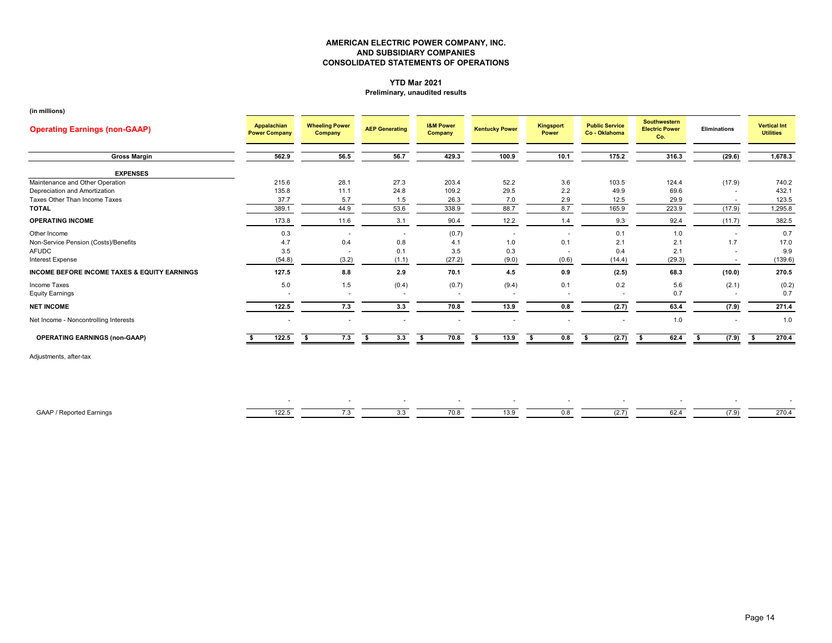#### **YTD Mar 2021 Preliminary, unaudited results**

**(in millions)**

| <b>Operating Earnings (non-GAAP)</b>                    | Appalachian<br><b>Power Company</b> | <b>Wheeling Power</b><br>Company | <b>AEP Generating</b>    | <b>I&amp;M Power</b><br>Company | <b>Kentucky Power</b>    | Kingsport<br>Power | <b>Public Service</b><br>Co - Oklahoma | Southwestern<br><b>Electric Power</b><br>Co. | <b>Eliminations</b>      | <b>Vertical Int</b><br><b>Utilities</b> |
|---------------------------------------------------------|-------------------------------------|----------------------------------|--------------------------|---------------------------------|--------------------------|--------------------|----------------------------------------|----------------------------------------------|--------------------------|-----------------------------------------|
| <b>Gross Margin</b>                                     | 562.9                               | 56.5                             | 56.7                     | 429.3                           | 100.9                    | 10.1               | 175.2                                  | 316.3                                        | (29.6)                   | 1,678.3                                 |
| <b>EXPENSES</b>                                         |                                     |                                  |                          |                                 |                          |                    |                                        |                                              |                          |                                         |
| Maintenance and Other Operation                         | 215.6                               | 28.1                             | 27.3                     | 203.4                           | 52.2                     | 3.6                | 103.5                                  | 124.4                                        | (17.9)                   | 740.2                                   |
| Depreciation and Amortization                           | 135.8                               | 11.1                             | 24.8                     | 109.2                           | 29.5                     | 2.2                | 49.9                                   | 69.6                                         |                          | 432.1                                   |
| Taxes Other Than Income Taxes                           | 37.7                                | 5.7                              | 1.5                      | 26.3                            | 7.0                      | 2.9                | 12.5                                   | 29.9                                         |                          | 123.5                                   |
| <b>TOTAL</b>                                            | 389.1                               | 44.9                             | 53.6                     | 338.9                           | 88.7                     | 8.7                | 165.9                                  | 223.9                                        | (17.9)                   | 1,295.8                                 |
| <b>OPERATING INCOME</b>                                 | 173.8                               | 11.6                             | 3.1                      | 90.4                            | 12.2                     | 1.4                | 9.3                                    | 92.4                                         | (11.7)                   | 382.5                                   |
| Other Income                                            | 0.3                                 | $\overline{\phantom{a}}$         | $\overline{\phantom{a}}$ | (0.7)                           |                          | ٠.                 | 0.1                                    | 1.0                                          |                          | 0.7                                     |
| Non-Service Pension (Costs)/Benefits                    | 4.7                                 | 0.4                              | 0.8                      | 4.1                             | 1.0                      | 0.1                | 2.1                                    | 2.1                                          | 1.7                      | 17.0                                    |
| <b>AFUDC</b>                                            | 3.5                                 | ٠                                | 0.1                      | 3.5                             | 0.3                      | ٠.                 | 0.4                                    | 2.1                                          |                          | 9.9                                     |
| <b>Interest Expense</b>                                 | (54.8)                              | (3.2)                            | (1.1)                    | (27.2)                          | (9.0)                    | (0.6)              | (14.4)                                 | (29.3)                                       |                          | (139.6)                                 |
| <b>INCOME BEFORE INCOME TAXES &amp; EQUITY EARNINGS</b> | 127.5                               | 8.8                              | 2.9                      | 70.1                            | 4.5                      | 0.9                | (2.5)                                  | 68.3                                         | (10.0)                   | 270.5                                   |
| Income Taxes                                            | 5.0                                 | 1.5                              | (0.4)                    | (0.7)                           | (9.4)                    | 0.1                | 0.2                                    | 5.6                                          | (2.1)                    | (0.2)                                   |
| <b>Equity Earnings</b>                                  |                                     | $\overline{\phantom{a}}$         | $\overline{\phantom{a}}$ | $\blacksquare$                  | $\overline{\phantom{a}}$ | $\sim$             | $\overline{\phantom{a}}$               | 0.7                                          | $\overline{\phantom{a}}$ | 0.7                                     |
| <b>NET INCOME</b>                                       | 122.5                               | 7.3                              | 3.3                      | 70.8                            | 13.9                     | 0.8                | (2.7)                                  | 63.4                                         | (7.9)                    | 271.4                                   |
| Net Income - Noncontrolling Interests                   |                                     | $\overline{\phantom{a}}$         | $\overline{\phantom{a}}$ |                                 |                          |                    | $\overline{\phantom{a}}$               | 1.0                                          |                          | 1.0                                     |
| <b>OPERATING EARNINGS (non-GAAP)</b>                    | 122.5                               | 7.3<br>\$                        | 3.3<br>\$                | 70.8<br>- \$                    | 13.9<br>- \$             | 0.8<br>s.          | (2.7)<br>s                             | 62.4<br>- \$                                 | (7.9)<br>- \$            | 270.4<br>\$                             |
| Adjustments, after-tax                                  |                                     |                                  |                          |                                 |                          |                    |                                        |                                              |                          |                                         |
|                                                         |                                     |                                  |                          |                                 |                          |                    |                                        |                                              |                          |                                         |
|                                                         |                                     |                                  |                          |                                 |                          |                    |                                        |                                              |                          |                                         |
|                                                         |                                     |                                  |                          |                                 |                          |                    |                                        |                                              |                          |                                         |

| GAAP / Rep | $\sim$ |  | ___<br>70.8 | 13.9 | $\sim -$ | $\sim$ $\sim$ | 270.4 |
|------------|--------|--|-------------|------|----------|---------------|-------|